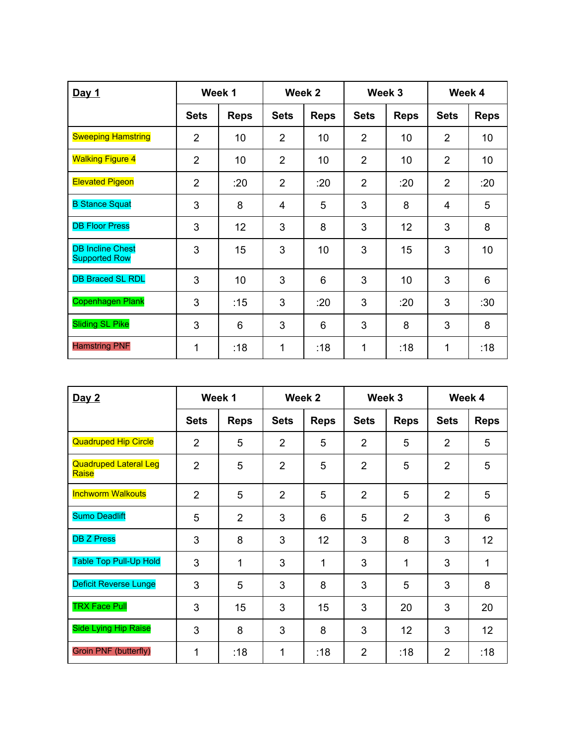| Day 1                                           | Week 1         |                 | Week 2         |             | Week 3         |             | Week 4         |             |
|-------------------------------------------------|----------------|-----------------|----------------|-------------|----------------|-------------|----------------|-------------|
|                                                 | <b>Sets</b>    | <b>Reps</b>     | <b>Sets</b>    | <b>Reps</b> | <b>Sets</b>    | <b>Reps</b> | <b>Sets</b>    | <b>Reps</b> |
| <b>Sweeping Hamstring</b>                       | $\overline{2}$ | 10              | $\overline{2}$ | 10          | $\overline{2}$ | 10          | $\overline{2}$ | 10          |
| <b>Walking Figure 4</b>                         | $\overline{2}$ | 10              | $\overline{2}$ | 10          | $\overline{2}$ | 10          | $\overline{2}$ | 10          |
| <b>Elevated Pigeon</b>                          | $\overline{2}$ | :20             | $\overline{2}$ | :20         | $\overline{2}$ | :20         | $\overline{2}$ | :20         |
| <b>B Stance Squat</b>                           | 3              | 8               | $\overline{4}$ | 5           | 3              | 8           | 4              | 5           |
| <b>DB Floor Press</b>                           | 3              | 12 <sub>2</sub> | 3              | 8           | 3              | 12          | 3              | 8           |
| <b>DB Incline Chest</b><br><b>Supported Row</b> | 3              | 15              | 3              | 10          | 3              | 15          | 3              | 10          |
| <b>DB Braced SL RDL</b>                         | 3              | 10              | 3              | 6           | 3              | 10          | 3              | 6           |
| <b>Copenhagen Plank</b>                         | 3              | :15             | 3              | :20         | 3              | :20         | 3              | :30         |
| <b>Sliding SL Pike</b>                          | 3              | 6               | 3              | 6           | 3              | 8           | 3              | 8           |
| <b>Hamstring PNF</b>                            | 1              | :18             | 1              | :18         | 1              | :18         | 1              | :18         |

| Day 2                                 | Week 1         |                | Week 2         |                 | Week 3         |                | Week 4         |                 |
|---------------------------------------|----------------|----------------|----------------|-----------------|----------------|----------------|----------------|-----------------|
|                                       | <b>Sets</b>    | <b>Reps</b>    | <b>Sets</b>    | <b>Reps</b>     | <b>Sets</b>    | <b>Reps</b>    | <b>Sets</b>    | <b>Reps</b>     |
| <b>Quadruped Hip Circle</b>           | $\overline{2}$ | 5              | $\overline{2}$ | 5               | $\overline{2}$ | 5              | $\overline{2}$ | 5               |
| <b>Quadruped Lateral Leg</b><br>Raise | $\overline{2}$ | 5              | $\overline{2}$ | 5               | $\overline{2}$ | 5              | $\overline{2}$ | 5               |
| <b>Inchworm Walkouts</b>              | $\overline{2}$ | 5              | $\overline{2}$ | 5               | $\overline{2}$ | 5              | $\overline{2}$ | 5               |
| <b>Sumo Deadlift</b>                  | 5              | $\overline{2}$ | 3              | 6               | 5              | $\overline{2}$ | 3              | 6               |
| <b>DB Z Press</b>                     | 3              | 8              | 3              | 12 <sub>2</sub> | 3              | 8              | 3              | 12 <sub>2</sub> |
| <b>Table Top Pull-Up Hold</b>         | 3              | 1              | 3              | 1               | 3              | 1              | 3              | 1               |
| <b>Deficit Reverse Lunge</b>          | 3              | 5              | 3              | 8               | 3              | 5              | 3              | 8               |
| <b>TRX Face Pull</b>                  | 3              | 15             | 3              | 15              | 3              | 20             | 3              | 20              |
| <b>Side Lying Hip Raise</b>           | 3              | 8              | 3              | 8               | 3              | 12             | 3              | 12 <sub>2</sub> |
| <b>Groin PNF (butterfly)</b>          | 1              | :18            | 1              | :18             | $\overline{2}$ | :18            | $\overline{2}$ | :18             |